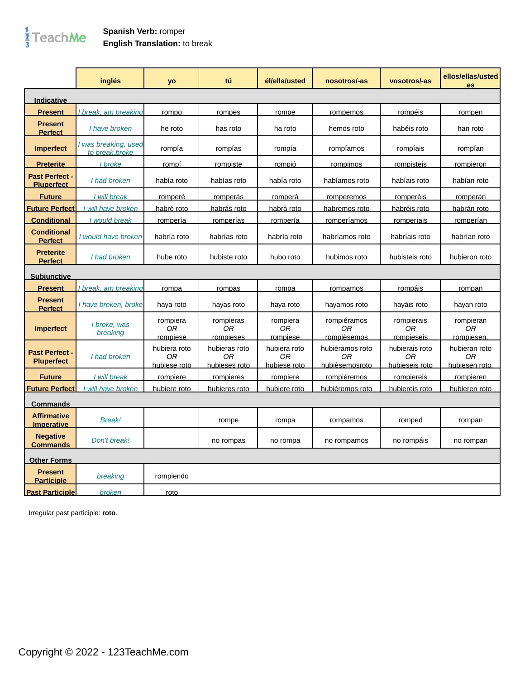## $\frac{1}{3}$ TeachMe

|                                            | inglés                                  | yo                                 | tú                                   | él/ella/usted                      | nosotros/-as                            | vosotros/-as                           | ellos/ellas/usted<br><b>es</b>        |
|--------------------------------------------|-----------------------------------------|------------------------------------|--------------------------------------|------------------------------------|-----------------------------------------|----------------------------------------|---------------------------------------|
| <b>Indicative</b>                          |                                         |                                    |                                      |                                    |                                         |                                        |                                       |
| <b>Present</b>                             | break, am breaking                      | rompo                              | rompes                               | rompe                              | rompemos                                | rompéis                                | rompen                                |
| <b>Present</b><br><b>Perfect</b>           | I have broken                           | he roto                            | has roto                             | ha roto                            | hemos roto                              | habéis roto                            | han roto                              |
| <b>Imperfect</b>                           | I was breaking, used<br>to break, broke | rompía                             | rompías                              | rompía                             | rompíamos                               | rompíais                               | rompían                               |
| <b>Preterite</b>                           | I broke                                 | rompí                              | rompiste                             | rompió                             | rompimos                                | rompisteis                             | rompieron                             |
| <b>Past Perfect -</b><br><b>Pluperfect</b> | I had broken                            | había roto                         | habías roto                          | había roto                         | habíamos roto                           | habíais roto                           | habían roto                           |
| <b>Future</b>                              | I will break                            | romperé                            | romperás                             | romperá                            | romperemos                              | romperéis                              | romperán                              |
| <b>Future Perfect</b>                      | will have broken                        | habré roto                         | habrás roto                          | habrá roto                         | habremos roto                           | habréis roto                           | habrán roto                           |
| <b>Conditional</b>                         | I would break                           | rompería                           | romperías                            | rompería                           | romperíamos                             | romperíais                             | romperían                             |
| <b>Conditional</b><br><b>Perfect</b>       | I would have broken                     | habría roto                        | habrías roto                         | habría roto                        | habríamos roto                          | habríais roto                          | habrían roto                          |
| <b>Preterite</b><br><b>Perfect</b>         | I had broken                            | hube roto                          | hubiste roto                         | hubo roto                          | hubimos roto                            | hubisteis roto                         | hubieron roto                         |
| <b>Subjunctive</b>                         |                                         |                                    |                                      |                                    |                                         |                                        |                                       |
| <b>Present</b>                             | break, am breaking                      | rompa                              | rompas                               | rompa                              | rompamos                                | rompáis                                | rompan                                |
| <b>Present</b><br><b>Perfect</b>           | I have broken, broke                    | haya roto                          | hayas roto                           | haya roto                          | hayamos roto                            | hayáis roto                            | hayan roto                            |
| <b>Imperfect</b>                           | I broke, was<br>breaking                | rompiera<br>0R<br>rompiese         | rompieras<br>0R<br>rompieses         | rompiera<br>0R<br>rompiese         | rompiéramos<br>0R<br>rompièsemos        | rompierais<br>0R<br>rompieseis         | rompieran<br>0R<br>rompiesen.         |
| <b>Past Perfect -</b><br><b>Pluperfect</b> | I had broken                            | hubiera roto<br>0R<br>hubiese roto | hubieras roto<br>ОR<br>hubieses roto | hubiera roto<br>ОR<br>hubiese roto | hubiéramos roto<br>0R<br>hubièsemosroto | hubierais roto<br>0R<br>hubieseis roto | hubieran roto<br>ОR<br>hubiesen roto. |
| <b>Future</b>                              | I will break                            | rompiere                           | rompieres                            | rompiere                           | rompiéremos                             | rompiereis                             | rompieren                             |
| <b>Future Perfect</b>                      | will have broken                        | hubiere roto                       | hubieres roto                        | hubiere roto                       | hubiéremos roto                         | hubiereis roto                         | hubieren roto                         |
| <u>Commands</u>                            |                                         |                                    |                                      |                                    |                                         |                                        |                                       |
| <b>Affirmative</b><br><b>Imperative</b>    | Break!                                  |                                    | rompe                                | rompa                              | rompamos                                | romped                                 | rompan                                |
| <b>Negative</b><br>Commands                | Don't break!                            |                                    | no rompas                            | no rompa                           | no rompamos                             | no rompáis                             | no rompan                             |
| <b>Other Forms</b>                         |                                         |                                    |                                      |                                    |                                         |                                        |                                       |
| <b>Present</b><br><b>Participle</b>        | breaking                                | rompiendo                          |                                      |                                    |                                         |                                        |                                       |
| <b>Past Participle</b>                     | broken                                  | roto                               |                                      |                                    |                                         |                                        |                                       |

Irregular past participle: **roto**.